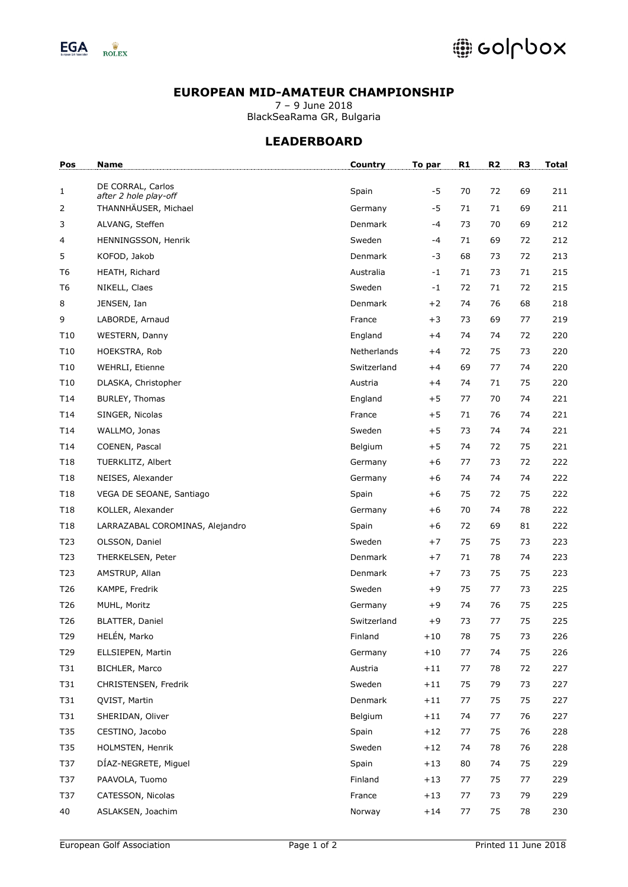

## **EUROPEAN MID-AMATEUR CHAMPIONSHIP**

7 – 9 June 2018 BlackSeaRama GR, Bulgaria

## **LEADERBOARD**

| Pos             | Name                                       | <b>Country</b> | To par  | R1 | R <sub>2</sub> | R <sub>3</sub> | <b>Total</b> |
|-----------------|--------------------------------------------|----------------|---------|----|----------------|----------------|--------------|
| 1               | DE CORRAL, Carlos<br>after 2 hole play-off | Spain          | $-5$    | 70 | 72             | 69             | 211          |
| 2               | THANNHÄUSER, Michael                       | Germany        | $-5$    | 71 | 71             | 69             | 211          |
| 3               | ALVANG, Steffen                            | Denmark        | -4      | 73 | 70             | 69             | 212          |
| 4               | HENNINGSSON, Henrik                        | Sweden         | -4      | 71 | 69             | 72             | 212          |
| 5               | KOFOD, Jakob                               | Denmark        | -3      | 68 | 73             | 72             | 213          |
| T <sub>6</sub>  | HEATH, Richard                             | Australia      | $-1$    | 71 | 73             | 71             | 215          |
| T <sub>6</sub>  | NIKELL, Claes                              | Sweden         | $-1$    | 72 | 71             | 72             | 215          |
| 8               | JENSEN, Ian                                | <b>Denmark</b> | $+2$    | 74 | 76             | 68             | 218          |
| 9               | LABORDE, Arnaud                            | France         | $+3$    | 73 | 69             | 77             | 219          |
| T <sub>10</sub> | WESTERN, Danny                             | England        | $+4$    | 74 | 74             | 72             | 220          |
| T <sub>10</sub> | HOEKSTRA, Rob                              | Netherlands    | $+4$    | 72 | 75             | 73             | 220          |
| T <sub>10</sub> | WEHRLI, Etienne                            | Switzerland    | $+4$    | 69 | 77             | 74             | 220          |
| T <sub>10</sub> | DLASKA, Christopher                        | Austria        | $+4$    | 74 | 71             | 75             | 220          |
| T14             | BURLEY, Thomas                             | England        | $+5$    | 77 | 70             | 74             | 221          |
| T14             | SINGER, Nicolas                            | France         | $+5$    | 71 | 76             | 74             | 221          |
| T14             | WALLMO, Jonas                              | Sweden         | $+5$    | 73 | 74             | 74             | 221          |
| T14             | COENEN, Pascal                             | Belgium        | $+5$    | 74 | 72             | 75             | 221          |
| T18             | TUERKLITZ, Albert                          | Germany        | $+6$    | 77 | 73             | 72             | 222          |
| T18             | NEISES, Alexander                          | Germany        | $+6$    | 74 | 74             | 74             | 222          |
| T18             | VEGA DE SEOANE, Santiago                   | Spain          | $+6$    | 75 | 72             | 75             | 222          |
| T18             | KOLLER, Alexander                          | Germany        | $+6$    | 70 | 74             | 78             | 222          |
| T18             | LARRAZABAL COROMINAS, Alejandro            | Spain          | $+6$    | 72 | 69             | 81             | 222          |
| T23             | OLSSON, Daniel                             | Sweden         | $+7$    | 75 | 75             | 73             | 223          |
| T <sub>23</sub> | THERKELSEN, Peter                          | Denmark        | $+7$    | 71 | 78             | 74             | 223          |
| T <sub>23</sub> | AMSTRUP, Allan                             | Denmark        | $+7$    | 73 | 75             | 75             | 223          |
| T26             | KAMPE, Fredrik                             | Sweden         | $+9$    | 75 | 77             | 73             | 225          |
| T <sub>26</sub> | MUHL, Moritz                               | Germany        | $+9$    | 74 | 76             | 75             | 225          |
| T <sub>26</sub> | <b>BLATTER, Daniel</b>                     | Switzerland    | $+9$    | 73 | 77             | 75             | 225          |
| T29             | HELÉN, Marko                               | Finland        | $+10\,$ | 78 | 75             | 73             | 226          |
| T29             | ELLSIEPEN, Martin                          | Germany        | $+10$   | 77 | 74             | 75             | 226          |
| T31             | BICHLER, Marco                             | Austria        | $+11$   | 77 | 78             | 72             | 227          |
| T31             | CHRISTENSEN, Fredrik                       | Sweden         | $+11$   | 75 | 79             | 73             | 227          |
| T31             | QVIST, Martin                              | Denmark        | $+11$   | 77 | 75             | 75             | 227          |
| T31             | SHERIDAN, Oliver                           | Belgium        | $+11$   | 74 | 77             | 76             | 227          |
| T35             | CESTINO, Jacobo                            | Spain          | $+12$   | 77 | 75             | 76             | 228          |
| T35             | HOLMSTEN, Henrik                           | Sweden         | $+12$   | 74 | 78             | 76             | 228          |
| T37             | DÍAZ-NEGRETE, Miguel                       | Spain          | $+13$   | 80 | 74             | 75             | 229          |
| T37             | PAAVOLA, Tuomo                             | Finland        | $+13$   | 77 | 75             | 77             | 229          |
| T37             | CATESSON, Nicolas                          | France         | $+13$   | 77 | 73             | 79             | 229          |
| 40              | ASLAKSEN, Joachim                          | Norway         | $+14$   | 77 | 75             | 78             | 230          |